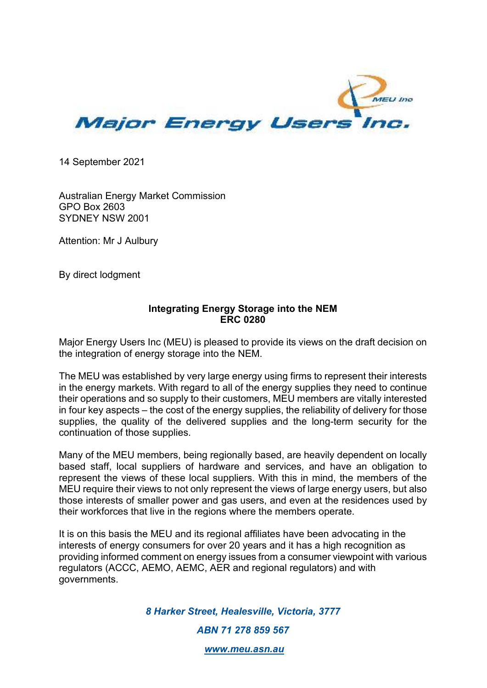

14 September 2021

Australian Energy Market Commission GPO Box 2603 SYDNEY NSW 2001

Attention: Mr J Aulbury

By direct lodgment

## **Integrating Energy Storage into the NEM ERC 0280**

Major Energy Users Inc (MEU) is pleased to provide its views on the draft decision on the integration of energy storage into the NEM.

The MEU was established by very large energy using firms to represent their interests in the energy markets. With regard to all of the energy supplies they need to continue their operations and so supply to their customers, MEU members are vitally interested in four key aspects – the cost of the energy supplies, the reliability of delivery for those supplies, the quality of the delivered supplies and the long-term security for the continuation of those supplies.

Many of the MEU members, being regionally based, are heavily dependent on locally based staff, local suppliers of hardware and services, and have an obligation to represent the views of these local suppliers. With this in mind, the members of the MEU require their views to not only represent the views of large energy users, but also those interests of smaller power and gas users, and even at the residences used by their workforces that live in the regions where the members operate.

It is on this basis the MEU and its regional affiliates have been advocating in the interests of energy consumers for over 20 years and it has a high recognition as providing informed comment on energy issues from a consumer viewpoint with various regulators (ACCC, AEMO, AEMC, AER and regional regulators) and with governments.

> *8 Harker Street, Healesville, Victoria, 3777 ABN 71 278 859 567*

> > *www.meu.asn.au*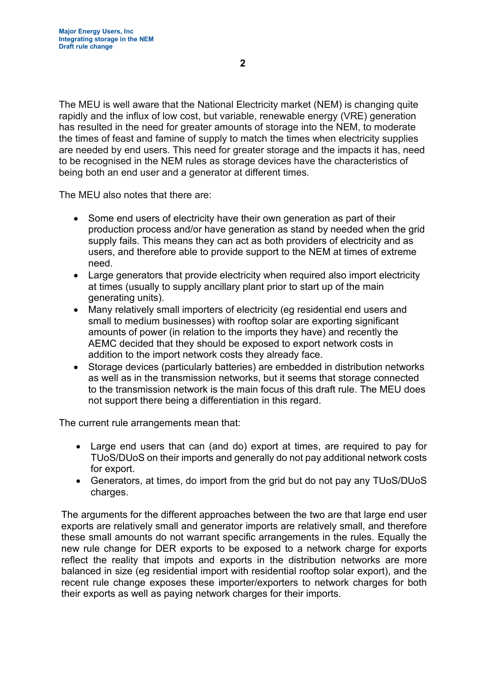The MEU is well aware that the National Electricity market (NEM) is changing quite rapidly and the influx of low cost, but variable, renewable energy (VRE) generation has resulted in the need for greater amounts of storage into the NEM, to moderate the times of feast and famine of supply to match the times when electricity supplies are needed by end users. This need for greater storage and the impacts it has, need to be recognised in the NEM rules as storage devices have the characteristics of being both an end user and a generator at different times.

The MEU also notes that there are:

- Some end users of electricity have their own generation as part of their production process and/or have generation as stand by needed when the grid supply fails. This means they can act as both providers of electricity and as users, and therefore able to provide support to the NEM at times of extreme need.
- Large generators that provide electricity when required also import electricity at times (usually to supply ancillary plant prior to start up of the main generating units).
- Many relatively small importers of electricity (eg residential end users and small to medium businesses) with rooftop solar are exporting significant amounts of power (in relation to the imports they have) and recently the AEMC decided that they should be exposed to export network costs in addition to the import network costs they already face.
- Storage devices (particularly batteries) are embedded in distribution networks as well as in the transmission networks, but it seems that storage connected to the transmission network is the main focus of this draft rule. The MEU does not support there being a differentiation in this regard.

The current rule arrangements mean that:

- Large end users that can (and do) export at times, are required to pay for TUoS/DUoS on their imports and generally do not pay additional network costs for export.
- Generators, at times, do import from the grid but do not pay any TUoS/DUoS charges.

The arguments for the different approaches between the two are that large end user exports are relatively small and generator imports are relatively small, and therefore these small amounts do not warrant specific arrangements in the rules. Equally the new rule change for DER exports to be exposed to a network charge for exports reflect the reality that impots and exports in the distribution networks are more balanced in size (eg residential import with residential rooftop solar export), and the recent rule change exposes these importer/exporters to network charges for both their exports as well as paying network charges for their imports.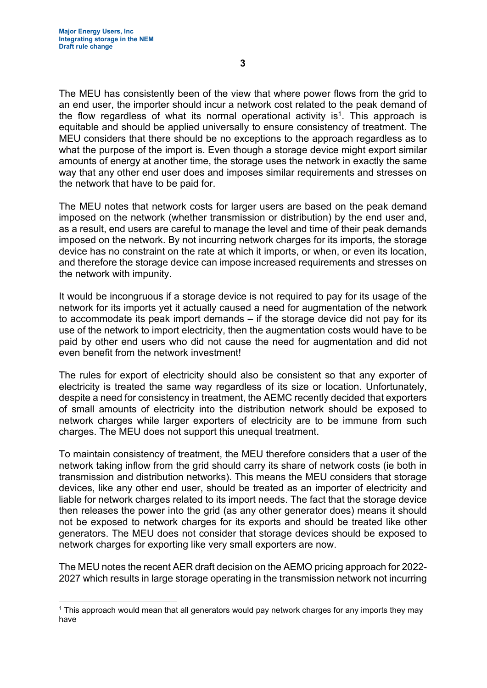The MEU has consistently been of the view that where power flows from the grid to an end user, the importer should incur a network cost related to the peak demand of the flow regardless of what its normal operational activity is<sup>1</sup>. This approach is equitable and should be applied universally to ensure consistency of treatment. The MEU considers that there should be no exceptions to the approach regardless as to what the purpose of the import is. Even though a storage device might export similar amounts of energy at another time, the storage uses the network in exactly the same way that any other end user does and imposes similar requirements and stresses on the network that have to be paid for.

The MEU notes that network costs for larger users are based on the peak demand imposed on the network (whether transmission or distribution) by the end user and, as a result, end users are careful to manage the level and time of their peak demands imposed on the network. By not incurring network charges for its imports, the storage device has no constraint on the rate at which it imports, or when, or even its location, and therefore the storage device can impose increased requirements and stresses on the network with impunity.

It would be incongruous if a storage device is not required to pay for its usage of the network for its imports yet it actually caused a need for augmentation of the network to accommodate its peak import demands – if the storage device did not pay for its use of the network to import electricity, then the augmentation costs would have to be paid by other end users who did not cause the need for augmentation and did not even benefit from the network investment!

The rules for export of electricity should also be consistent so that any exporter of electricity is treated the same way regardless of its size or location. Unfortunately, despite a need for consistency in treatment, the AEMC recently decided that exporters of small amounts of electricity into the distribution network should be exposed to network charges while larger exporters of electricity are to be immune from such charges. The MEU does not support this unequal treatment.

To maintain consistency of treatment, the MEU therefore considers that a user of the network taking inflow from the grid should carry its share of network costs (ie both in transmission and distribution networks). This means the MEU considers that storage devices, like any other end user, should be treated as an importer of electricity and liable for network charges related to its import needs. The fact that the storage device then releases the power into the grid (as any other generator does) means it should not be exposed to network charges for its exports and should be treated like other generators. The MEU does not consider that storage devices should be exposed to network charges for exporting like very small exporters are now.

The MEU notes the recent AER draft decision on the AEMO pricing approach for 2022- 2027 which results in large storage operating in the transmission network not incurring

<sup>1</sup> This approach would mean that all generators would pay network charges for any imports they may have